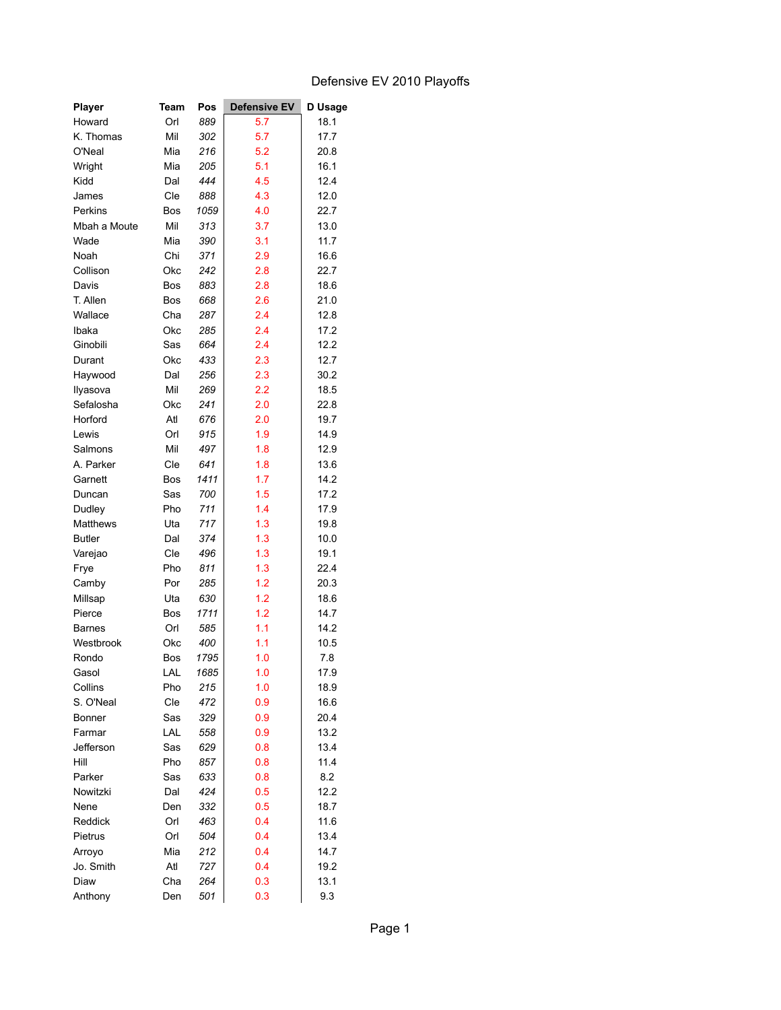## Defensive EV 2010 Playoffs

| <b>Player</b> | Team       | Pos        | <b>Defensive EV</b> | D Usage |
|---------------|------------|------------|---------------------|---------|
| Howard        | Orl        | 889        | 5.7                 | 18.1    |
| K. Thomas     | Mil        | 302        | 5.7                 | 17.7    |
| O'Neal        | Mia        | 216        | 5.2                 | 20.8    |
| Wright        | Mia        | 205        | 5.1                 | 16.1    |
| Kidd          | Dal        | 444        | 4.5                 | 12.4    |
| James         | Cle        | 888        | 4.3                 | 12.0    |
| Perkins       | Bos        | 1059       | 4.0                 | 22.7    |
| Mbah a Moute  | Mil        | 313        | 3.7                 | 13.0    |
| Wade          | Mia        | 390        | 3.1                 | 11.7    |
| Noah          | Chi        | 371        | 2.9                 | 16.6    |
| Collison      | Okc        | 242        | 2.8                 | 22.7    |
| Davis         | Bos        | 883        | 2.8                 | 18.6    |
| T. Allen      | Bos        | 668        | 2.6                 | 21.0    |
| Wallace       | Cha        | 287        | 2.4                 | 12.8    |
| Ibaka         | Okc        | 285        | 2.4                 | 17.2    |
| Ginobili      | Sas        | 664        | 2.4                 | 12.2    |
| Durant        | Okc        | 433        | 2.3                 | 12.7    |
| Haywood       | Dal        | 256        | 2.3                 | 30.2    |
| Ilyasova      | Mil        | 269        | 2.2                 | 18.5    |
| Sefalosha     | Okc        | 241        | 2.0                 | 22.8    |
| Horford       | Atl        | 676        | 2.0                 | 19.7    |
| Lewis         | Orl        | 915        | 1.9                 | 14.9    |
| Salmons       | Mil        | 497        | 1.8                 | 12.9    |
| A. Parker     | Cle        | 641        | 1.8                 | 13.6    |
| Garnett       | Bos        | 1411       | 1.7                 | 14.2    |
| Duncan        | Sas        | 700        | 1.5                 | 17.2    |
| Dudley        | Pho        | 711        | 1.4                 | 17.9    |
| Matthews      | Uta        | 717        | 1.3                 | 19.8    |
| <b>Butler</b> | Dal        | 374        | 1.3                 | 10.0    |
| Varejao       | Cle        | 496        | 1.3                 | 19.1    |
| Frye          | Pho        | 811        | 1.3                 | 22.4    |
| Camby         | Por        | 285        | 1.2                 | 20.3    |
| Millsap       | Uta        | 630        | 1.2                 | 18.6    |
| Pierce        | Bos        | 1711       | 1.2                 | 14.7    |
| <b>Barnes</b> | Orl        | 585        | 1.1                 | 14.2    |
| Westbrook     | Okc        | 400        | 1.1                 | 10.5    |
| Rondo         | Bos        | 1795       | 1.0                 | 7.8     |
| Gasol         | LAL        | 1685       | 1.0                 | 17.9    |
| Collins       | Pho        | 215        | 1.0                 | 18.9    |
| S. O'Neal     | Cle        | 472        | 0.9                 | 16.6    |
| Bonner        | Sas        | 329        | 0.9                 | 20.4    |
| Farmar        | LAL        | 558        | 0.9                 | 13.2    |
| Jefferson     | Sas        | 629        | 0.8                 | 13.4    |
| Hill          | Pho        | 857        | 0.8                 | 11.4    |
| Parker        | Sas        | 633        | 0.8                 | 8.2     |
| Nowitzki      | Dal        | 424        | 0.5                 | 12.2    |
| Nene          | Den        |            |                     | 18.7    |
|               |            | 332        | 0.5                 | 11.6    |
| Reddick       | Orl        | 463<br>504 | 0.4                 |         |
| Pietrus       | Orl        |            | 0.4                 | 13.4    |
| Arroyo        | Mia<br>Atl | 212<br>727 | 0.4                 | 14.7    |
| Jo. Smith     |            |            | 0.4                 | 19.2    |
| Diaw          | Cha        | 264        | 0.3                 | 13.1    |
| Anthony       | Den        | 501        | 0.3                 | 9.3     |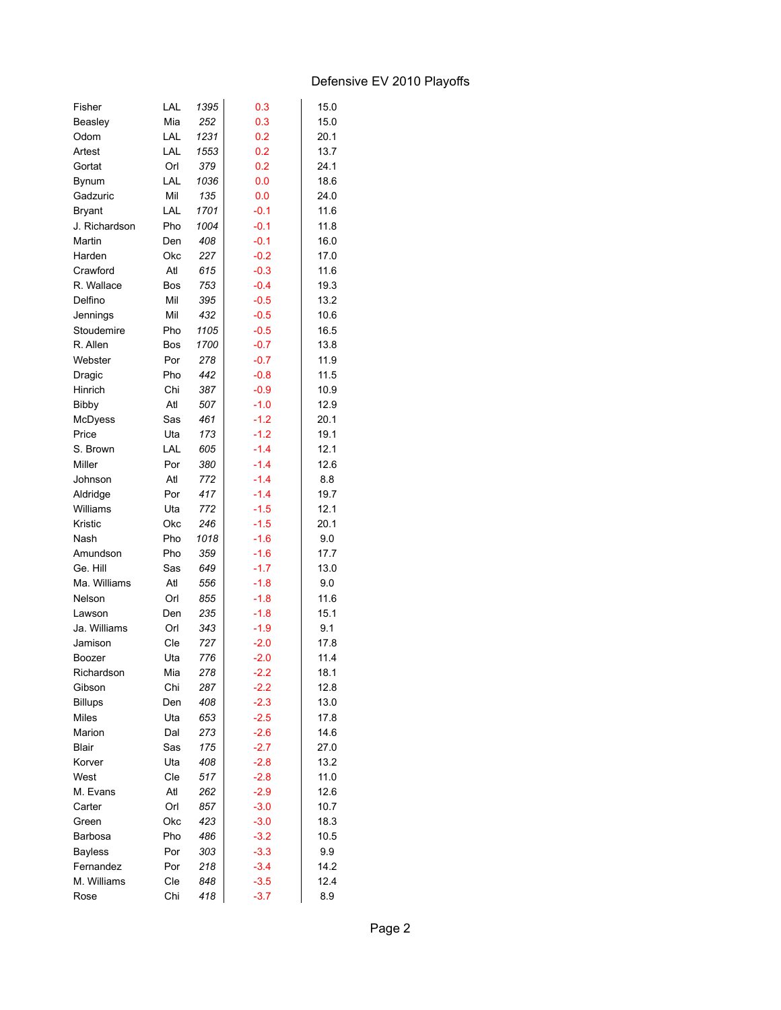## Defensive EV 2010 Playoffs

| Fisher                         | LAL | 1395 | 0.3              | 15.0 |
|--------------------------------|-----|------|------------------|------|
| Beasley                        | Mia | 252  | 0.3              | 15.0 |
| Odom                           | LAL | 1231 | 0.2              | 20.1 |
| Artest                         | LAL | 1553 | 0.2              | 13.7 |
| Gortat                         | Orl | 379  | 0.2              | 24.1 |
| <b>Bynum</b>                   | LAL | 1036 | 0.0              | 18.6 |
| Gadzuric                       | Mil | 135  | 0.0              | 24.0 |
| <b>Bryant</b>                  | LAL | 1701 | $-0.1$           | 11.6 |
| J. Richardson                  | Pho | 1004 | $-0.1$           | 11.8 |
| Martin                         | Den | 408  | $-0.1$           | 16.0 |
| Harden                         | Okc | 227  | $-0.2$           | 17.0 |
| Crawford                       | Atl | 615  | $-0.3$           | 11.6 |
| R. Wallace                     | Bos | 753  | $-0.4$           | 19.3 |
| Delfino                        | Mil | 395  | $-0.5$           | 13.2 |
| Jennings                       | Mil | 432  | $-0.5$           | 10.6 |
| Stoudemire                     | Pho | 1105 | $-0.5$           | 16.5 |
| R. Allen                       | Bos | 1700 | $-0.7$           | 13.8 |
| Webster                        | Por | 278  | $-0.7$           | 11.9 |
| Dragic                         | Pho | 442  | $-0.8$           | 11.5 |
| Hinrich                        | Chi | 387  | $-0.9$           | 10.9 |
| <b>Bibby</b>                   | Atl | 507  | $-1.0$           | 12.9 |
| McDyess                        | Sas | 461  | $-1.2$           | 20.1 |
| Price                          | Uta | 173  | $-1.2$           | 19.1 |
| S. Brown                       | LAL | 605  | $-1.4$           | 12.1 |
| Miller                         | Por | 380  | $-1.4$           | 12.6 |
| Johnson                        | Atl | 772  | $-1.4$           | 8.8  |
| Aldridge                       | Por | 417  | $-1.4$           | 19.7 |
| Williams                       | Uta | 772  | $-1.5$           | 12.1 |
| Kristic                        | Okc | 246  | $-1.5$           | 20.1 |
| Nash                           | Pho | 1018 | $-1.6$           | 9.0  |
| Amundson                       | Pho | 359  | $-1.6$           | 17.7 |
| Ge. Hill                       | Sas | 649  | $-1.7$           | 13.0 |
| Ma. Williams                   | Atl | 556  | $-1.8$           | 9.0  |
| Nelson                         | Orl | 855  | $-1.8$           | 11.6 |
| Lawson                         | Den | 235  |                  | 15.1 |
| Ja. Williams                   | Orl | 343  | $-1.8$<br>$-1.9$ | 9.1  |
| Jamison                        | Cle | 727  | $-2.0$           | 17.8 |
| Boozer                         | Uta | 776  | $-2.0$           | 11.4 |
|                                | Mia |      |                  | 18.1 |
| Richardson                     |     | 278  | $-2.2$           |      |
| Gibson                         | Chi | 287  | $-2.2$           | 12.8 |
| <b>Billups</b><br><b>Miles</b> | Den | 408  | $-2.3$           | 13.0 |
|                                | Uta | 653  | $-2.5$           | 17.8 |
| Marion                         | Dal | 273  | $-2.6$           | 14.6 |
| <b>Blair</b>                   | Sas | 175  | $-2.7$           | 27.0 |
| Korver                         | Uta | 408  | $-2.8$           | 13.2 |
| West                           | Cle | 517  | $-2.8$           | 11.0 |
| M. Evans                       | Atl | 262  | $-2.9$           | 12.6 |
| Carter                         | Orl | 857  | $-3.0$           | 10.7 |
| Green                          | Okc | 423  | $-3.0$           | 18.3 |
| Barbosa                        | Pho | 486  | $-3.2$           | 10.5 |
| <b>Bayless</b>                 | Por | 303  | $-3.3$           | 9.9  |
| Fernandez                      | Por | 218  | $-3.4$           | 14.2 |
| M. Williams                    | Cle | 848  | $-3.5$           | 12.4 |
| Rose                           | Chi | 418  | $-3.7$           | 8.9  |